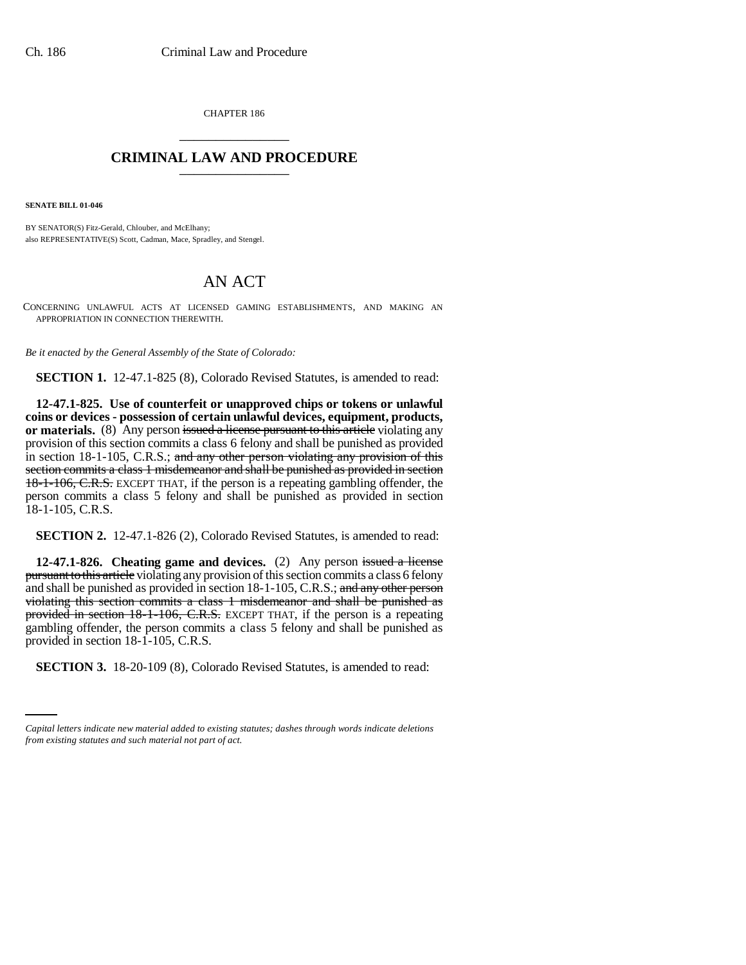CHAPTER 186 \_\_\_\_\_\_\_\_\_\_\_\_\_\_\_

## **CRIMINAL LAW AND PROCEDURE** \_\_\_\_\_\_\_\_\_\_\_\_\_\_\_

**SENATE BILL 01-046**

BY SENATOR(S) Fitz-Gerald, Chlouber, and McElhany; also REPRESENTATIVE(S) Scott, Cadman, Mace, Spradley, and Stengel.

## AN ACT

CONCERNING UNLAWFUL ACTS AT LICENSED GAMING ESTABLISHMENTS, AND MAKING AN APPROPRIATION IN CONNECTION THEREWITH.

*Be it enacted by the General Assembly of the State of Colorado:*

**SECTION 1.** 12-47.1-825 (8), Colorado Revised Statutes, is amended to read:

**12-47.1-825. Use of counterfeit or unapproved chips or tokens or unlawful coins or devices - possession of certain unlawful devices, equipment, products, or materials.** (8) Any person issued a license pursuant to this article violating any provision of this section commits a class 6 felony and shall be punished as provided in section 18-1-105, C.R.S.; and any other person violating any provision of this section commits a class 1 misdemeanor and shall be punished as provided in section 18-1-106, C.R.S. EXCEPT THAT, if the person is a repeating gambling offender, the person commits a class 5 felony and shall be punished as provided in section 18-1-105, C.R.S.

**SECTION 2.** 12-47.1-826 (2), Colorado Revised Statutes, is amended to read:

provided in section 18-1-105, C.R.S. **12-47.1-826.** Cheating game and devices. (2) Any person issued a license pursuant to this article violating any provision of this section commits a class 6 felony and shall be punished as provided in section 18-1-105, C.R.S.; and any other person violating this section commits a class 1 misdemeanor and shall be punished as provided in section 18-1-106, C.R.S. EXCEPT THAT, if the person is a repeating gambling offender, the person commits a class 5 felony and shall be punished as

**SECTION 3.** 18-20-109 (8), Colorado Revised Statutes, is amended to read:

*Capital letters indicate new material added to existing statutes; dashes through words indicate deletions from existing statutes and such material not part of act.*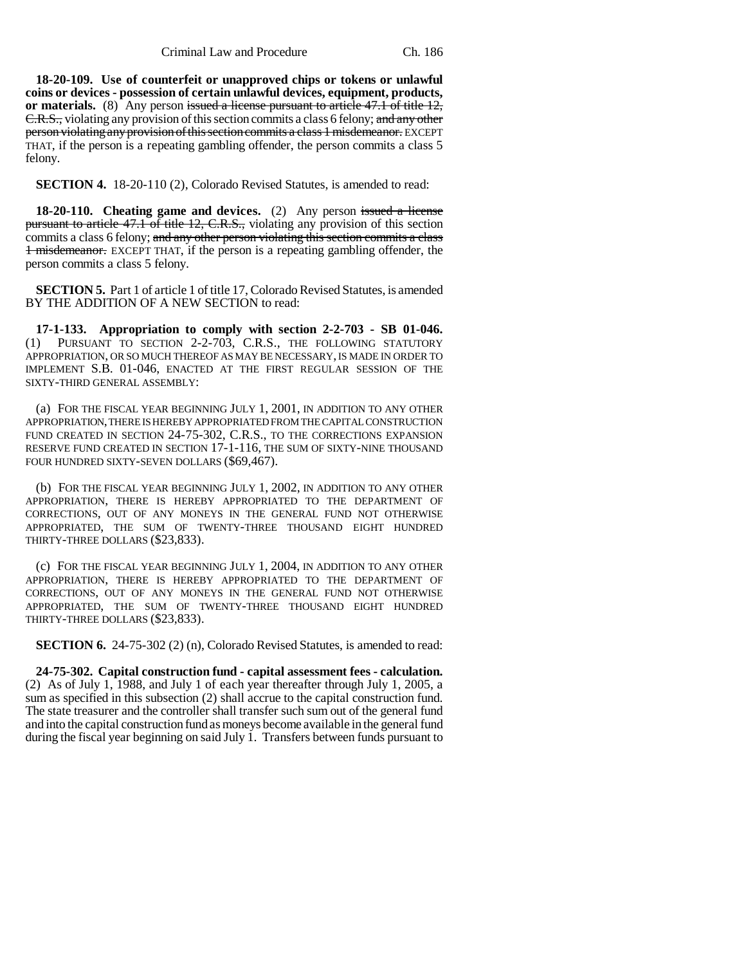**18-20-109. Use of counterfeit or unapproved chips or tokens or unlawful coins or devices - possession of certain unlawful devices, equipment, products, or materials.** (8) Any person issued a license pursuant to article 47.1 of title 12, E.R.S., violating any provision of this section commits a class 6 felony; and any other person violating any provision of this section commits a class 1 misdemeanor. EXCEPT THAT, if the person is a repeating gambling offender, the person commits a class 5 felony.

**SECTION 4.** 18-20-110 (2), Colorado Revised Statutes, is amended to read:

**18-20-110.** Cheating game and devices. (2) Any person issued a license pursuant to article 47.1 of title 12, C.R.S., violating any provision of this section commits a class 6 felony; and any other person violating this section commits a class 1 misdemeanor. EXCEPT THAT, if the person is a repeating gambling offender, the person commits a class 5 felony.

**SECTION 5.** Part 1 of article 1 of title 17, Colorado Revised Statutes, is amended BY THE ADDITION OF A NEW SECTION to read:

**17-1-133. Appropriation to comply with section 2-2-703 - SB 01-046.** (1) PURSUANT TO SECTION 2-2-703, C.R.S., THE FOLLOWING STATUTORY APPROPRIATION, OR SO MUCH THEREOF AS MAY BE NECESSARY, IS MADE IN ORDER TO IMPLEMENT S.B. 01-046, ENACTED AT THE FIRST REGULAR SESSION OF THE SIXTY-THIRD GENERAL ASSEMBLY:

(a) FOR THE FISCAL YEAR BEGINNING JULY 1, 2001, IN ADDITION TO ANY OTHER APPROPRIATION, THERE IS HEREBY APPROPRIATED FROM THE CAPITAL CONSTRUCTION FUND CREATED IN SECTION 24-75-302, C.R.S., TO THE CORRECTIONS EXPANSION RESERVE FUND CREATED IN SECTION 17-1-116, THE SUM OF SIXTY-NINE THOUSAND FOUR HUNDRED SIXTY-SEVEN DOLLARS (\$69,467).

(b) FOR THE FISCAL YEAR BEGINNING JULY 1, 2002, IN ADDITION TO ANY OTHER APPROPRIATION, THERE IS HEREBY APPROPRIATED TO THE DEPARTMENT OF CORRECTIONS, OUT OF ANY MONEYS IN THE GENERAL FUND NOT OTHERWISE APPROPRIATED, THE SUM OF TWENTY-THREE THOUSAND EIGHT HUNDRED THIRTY-THREE DOLLARS (\$23,833).

(c) FOR THE FISCAL YEAR BEGINNING JULY 1, 2004, IN ADDITION TO ANY OTHER APPROPRIATION, THERE IS HEREBY APPROPRIATED TO THE DEPARTMENT OF CORRECTIONS, OUT OF ANY MONEYS IN THE GENERAL FUND NOT OTHERWISE APPROPRIATED, THE SUM OF TWENTY-THREE THOUSAND EIGHT HUNDRED THIRTY-THREE DOLLARS (\$23,833).

**SECTION 6.** 24-75-302 (2) (n), Colorado Revised Statutes, is amended to read:

**24-75-302. Capital construction fund - capital assessment fees - calculation.** (2) As of July 1, 1988, and July 1 of each year thereafter through July 1, 2005, a sum as specified in this subsection (2) shall accrue to the capital construction fund. The state treasurer and the controller shall transfer such sum out of the general fund and into the capital construction fund as moneys become available in the general fund during the fiscal year beginning on said July 1. Transfers between funds pursuant to